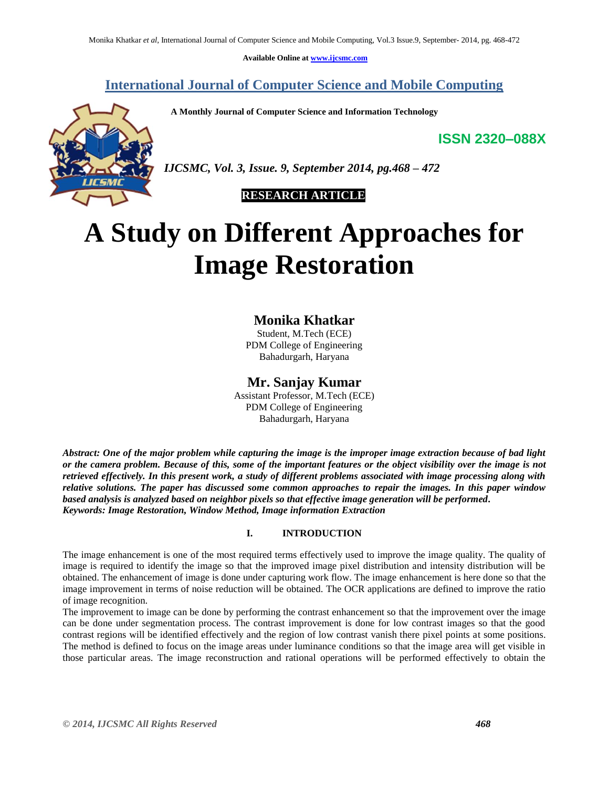**Available Online at [www.ijcsmc.com](http://www.ijcsmc.com/)**

# **International Journal of Computer Science and Mobile Computing**

 **A Monthly Journal of Computer Science and Information Technology**

**ISSN 2320–088X**

*IJCSMC, Vol. 3, Issue. 9, September 2014, pg.468 – 472*

# **RESEARCH ARTICLE**

# **A Study on Different Approaches for Image Restoration**

# **Monika Khatkar**

Student, M.Tech (ECE) PDM College of Engineering Bahadurgarh, Haryana

# **Mr. Sanjay Kumar**

Assistant Professor, M.Tech (ECE) PDM College of Engineering Bahadurgarh, Haryana

*Abstract: One of the major problem while capturing the image is the improper image extraction because of bad light or the camera problem. Because of this, some of the important features or the object visibility over the image is not retrieved effectively. In this present work, a study of different problems associated with image processing along with relative solutions. The paper has discussed some common approaches to repair the images. In this paper window based analysis is analyzed based on neighbor pixels so that effective image generation will be performed. Keywords: Image Restoration, Window Method, Image information Extraction*

## **I. INTRODUCTION**

The image enhancement is one of the most required terms effectively used to improve the image quality. The quality of image is required to identify the image so that the improved image pixel distribution and intensity distribution will be obtained. The enhancement of image is done under capturing work flow. The image enhancement is here done so that the image improvement in terms of noise reduction will be obtained. The OCR applications are defined to improve the ratio of image recognition.

The improvement to image can be done by performing the contrast enhancement so that the improvement over the image can be done under segmentation process. The contrast improvement is done for low contrast images so that the good contrast regions will be identified effectively and the region of low contrast vanish there pixel points at some positions. The method is defined to focus on the image areas under luminance conditions so that the image area will get visible in those particular areas. The image reconstruction and rational operations will be performed effectively to obtain the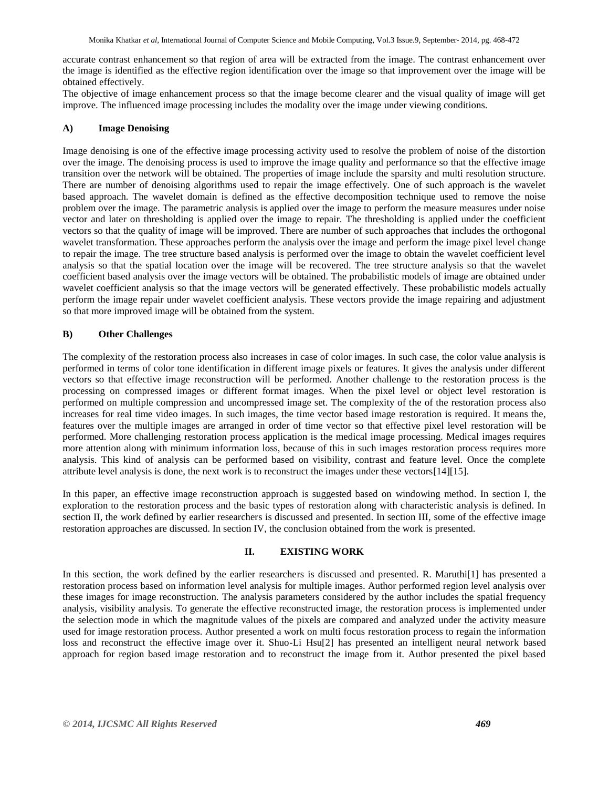accurate contrast enhancement so that region of area will be extracted from the image. The contrast enhancement over the image is identified as the effective region identification over the image so that improvement over the image will be obtained effectively.

The objective of image enhancement process so that the image become clearer and the visual quality of image will get improve. The influenced image processing includes the modality over the image under viewing conditions.

### **A) Image Denoising**

Image denoising is one of the effective image processing activity used to resolve the problem of noise of the distortion over the image. The denoising process is used to improve the image quality and performance so that the effective image transition over the network will be obtained. The properties of image include the sparsity and multi resolution structure. There are number of denoising algorithms used to repair the image effectively. One of such approach is the wavelet based approach. The wavelet domain is defined as the effective decomposition technique used to remove the noise problem over the image. The parametric analysis is applied over the image to perform the measure measures under noise vector and later on thresholding is applied over the image to repair. The thresholding is applied under the coefficient vectors so that the quality of image will be improved. There are number of such approaches that includes the orthogonal wavelet transformation. These approaches perform the analysis over the image and perform the image pixel level change to repair the image. The tree structure based analysis is performed over the image to obtain the wavelet coefficient level analysis so that the spatial location over the image will be recovered. The tree structure analysis so that the wavelet coefficient based analysis over the image vectors will be obtained. The probabilistic models of image are obtained under wavelet coefficient analysis so that the image vectors will be generated effectively. These probabilistic models actually perform the image repair under wavelet coefficient analysis. These vectors provide the image repairing and adjustment so that more improved image will be obtained from the system.

## **B) Other Challenges**

The complexity of the restoration process also increases in case of color images. In such case, the color value analysis is performed in terms of color tone identification in different image pixels or features. It gives the analysis under different vectors so that effective image reconstruction will be performed. Another challenge to the restoration process is the processing on compressed images or different format images. When the pixel level or object level restoration is performed on multiple compression and uncompressed image set. The complexity of the of the restoration process also increases for real time video images. In such images, the time vector based image restoration is required. It means the, features over the multiple images are arranged in order of time vector so that effective pixel level restoration will be performed. More challenging restoration process application is the medical image processing. Medical images requires more attention along with minimum information loss, because of this in such images restoration process requires more analysis. This kind of analysis can be performed based on visibility, contrast and feature level. Once the complete attribute level analysis is done, the next work is to reconstruct the images under these vectors[14][15].

In this paper, an effective image reconstruction approach is suggested based on windowing method. In section I, the exploration to the restoration process and the basic types of restoration along with characteristic analysis is defined. In section II, the work defined by earlier researchers is discussed and presented. In section III, some of the effective image restoration approaches are discussed. In section IV, the conclusion obtained from the work is presented.

#### **II. EXISTING WORK**

In this section, the work defined by the earlier researchers is discussed and presented. R. Maruthi[1] has presented a restoration process based on information level analysis for multiple images. Author performed region level analysis over these images for image reconstruction. The analysis parameters considered by the author includes the spatial frequency analysis, visibility analysis. To generate the effective reconstructed image, the restoration process is implemented under the selection mode in which the magnitude values of the pixels are compared and analyzed under the activity measure used for image restoration process. Author presented a work on multi focus restoration process to regain the information loss and reconstruct the effective image over it. Shuo-Li Hsu[2] has presented an intelligent neural network based approach for region based image restoration and to reconstruct the image from it. Author presented the pixel based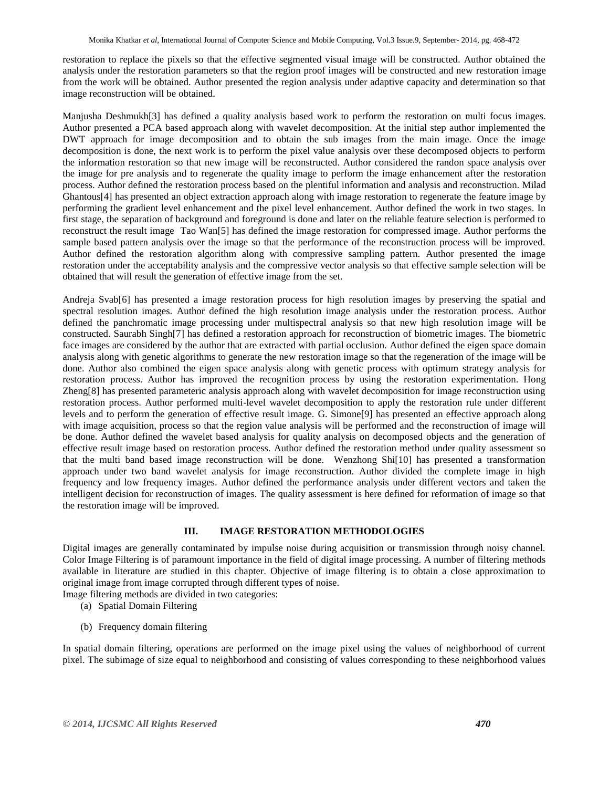restoration to replace the pixels so that the effective segmented visual image will be constructed. Author obtained the analysis under the restoration parameters so that the region proof images will be constructed and new restoration image from the work will be obtained. Author presented the region analysis under adaptive capacity and determination so that image reconstruction will be obtained.

Manjusha Deshmukh[3] has defined a quality analysis based work to perform the restoration on multi focus images. Author presented a PCA based approach along with wavelet decomposition. At the initial step author implemented the DWT approach for image decomposition and to obtain the sub images from the main image. Once the image decomposition is done, the next work is to perform the pixel value analysis over these decomposed objects to perform the information restoration so that new image will be reconstructed. Author considered the randon space analysis over the image for pre analysis and to regenerate the quality image to perform the image enhancement after the restoration process. Author defined the restoration process based on the plentiful information and analysis and reconstruction. Milad Ghantous[4] has presented an object extraction approach along with image restoration to regenerate the feature image by performing the gradient level enhancement and the pixel level enhancement. Author defined the work in two stages. In first stage, the separation of background and foreground is done and later on the reliable feature selection is performed to reconstruct the result image Tao Wan[5] has defined the image restoration for compressed image. Author performs the sample based pattern analysis over the image so that the performance of the reconstruction process will be improved. Author defined the restoration algorithm along with compressive sampling pattern. Author presented the image restoration under the acceptability analysis and the compressive vector analysis so that effective sample selection will be obtained that will result the generation of effective image from the set.

Andreja Svab[6] has presented a image restoration process for high resolution images by preserving the spatial and spectral resolution images. Author defined the high resolution image analysis under the restoration process. Author defined the panchromatic image processing under multispectral analysis so that new high resolution image will be constructed. Saurabh Singh[7] has defined a restoration approach for reconstruction of biometric images. The biometric face images are considered by the author that are extracted with partial occlusion. Author defined the eigen space domain analysis along with genetic algorithms to generate the new restoration image so that the regeneration of the image will be done. Author also combined the eigen space analysis along with genetic process with optimum strategy analysis for restoration process. Author has improved the recognition process by using the restoration experimentation. Hong Zheng[8] has presented parameteric analysis approach along with wavelet decomposition for image reconstruction using restoration process. Author performed multi-level wavelet decomposition to apply the restoration rule under different levels and to perform the generation of effective result image. G. Simone[9] has presented an effective approach along with image acquisition, process so that the region value analysis will be performed and the reconstruction of image will be done. Author defined the wavelet based analysis for quality analysis on decomposed objects and the generation of effective result image based on restoration process. Author defined the restoration method under quality assessment so that the multi band based image reconstruction will be done. Wenzhong Shi[10] has presented a transformation approach under two band wavelet analysis for image reconstruction. Author divided the complete image in high frequency and low frequency images. Author defined the performance analysis under different vectors and taken the intelligent decision for reconstruction of images. The quality assessment is here defined for reformation of image so that the restoration image will be improved.

## **III. IMAGE RESTORATION METHODOLOGIES**

Digital images are generally contaminated by impulse noise during acquisition or transmission through noisy channel. Color Image Filtering is of paramount importance in the field of digital image processing. A number of filtering methods available in literature are studied in this chapter. Objective of image filtering is to obtain a close approximation to original image from image corrupted through different types of noise.

Image filtering methods are divided in two categories:

- (a) Spatial Domain Filtering
- (b) Frequency domain filtering

In spatial domain filtering, operations are performed on the image pixel using the values of neighborhood of current pixel. The subimage of size equal to neighborhood and consisting of values corresponding to these neighborhood values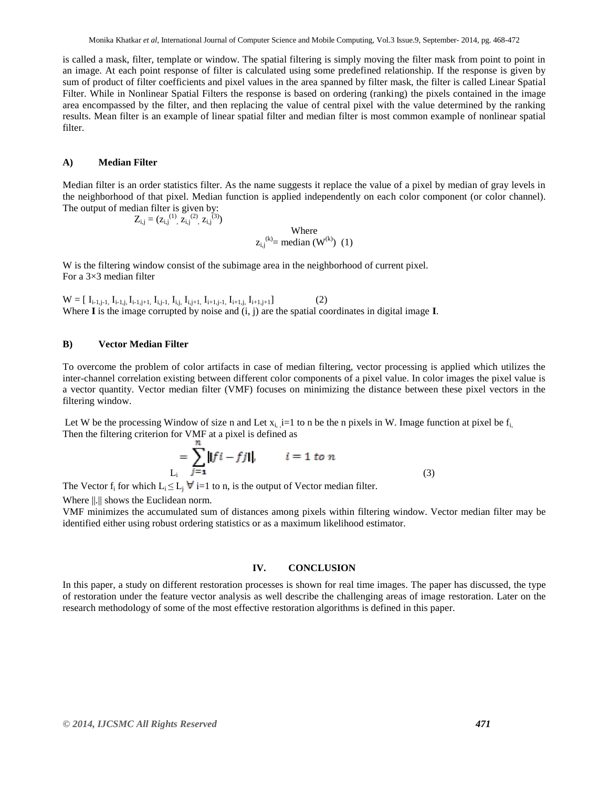is called a mask, filter, template or window. The spatial filtering is simply moving the filter mask from point to point in an image. At each point response of filter is calculated using some predefined relationship. If the response is given by sum of product of filter coefficients and pixel values in the area spanned by filter mask, the filter is called Linear Spatial Filter. While in Nonlinear Spatial Filters the response is based on ordering (ranking) the pixels contained in the image area encompassed by the filter, and then replacing the value of central pixel with the value determined by the ranking results. Mean filter is an example of linear spatial filter and median filter is most common example of nonlinear spatial filter.

#### **A) Median Filter**

Median filter is an order statistics filter. As the name suggests it replace the value of a pixel by median of gray levels in the neighborhood of that pixel. Median function is applied independently on each color component (or color channel). The output of median filter is given by:

$$
(z_{i,j}^{(1)}, \overline{z}_{i,j}^{(2)}, z_{i,j}^{(3)})
$$
  
Where  
 $z_{i,j}^{(k)} = \text{median } (W^{(k)})$  (1)

W is the filtering window consist of the subimage area in the neighborhood of current pixel. For a 3×3 median filter

 $W = [\ I_{i-1,j-1}, I_{i-1,j}, I_{i-1,j+1}, I_{i,j-1}, I_{i,j}, I_{i,j+1}, I_{i+1,j-1}, I_{i+1,j}, I_{i+1,j+1}]$  (2) Where **I** is the image corrupted by noise and (i, j) are the spatial coordinates in digital image **I**.

#### **B) Vector Median Filter**

 $Z_{i,i} =$ 

To overcome the problem of color artifacts in case of median filtering, vector processing is applied which utilizes the inter-channel correlation existing between different color components of a pixel value. In color images the pixel value is a vector quantity. Vector median filter (VMF) focuses on minimizing the distance between these pixel vectors in the filtering window.

Let W be the processing Window of size n and Let  $x_i$ ,  $i=1$  to n be the n pixels in W. Image function at pixel be  $f_i$ Then the filtering criterion for VMF at a pixel is defined as

$$
\sum_{\mathbf{L}_i} \|\mathbf{f} \mathbf{i} - \mathbf{f} \mathbf{j}\|, \qquad i = 1 \text{ to } n
$$
\n
$$
\tag{3}
$$

The Vector  $f_i$  for which  $L_i \leq L_j \forall i=1$  to n, is the output of Vector median filter.

Where  $\|.\|$  shows the Euclidean norm.

VMF minimizes the accumulated sum of distances among pixels within filtering window. Vector median filter may be identified either using robust ordering statistics or as a maximum likelihood estimator.

#### **IV. CONCLUSION**

In this paper, a study on different restoration processes is shown for real time images. The paper has discussed, the type of restoration under the feature vector analysis as well describe the challenging areas of image restoration. Later on the research methodology of some of the most effective restoration algorithms is defined in this paper.